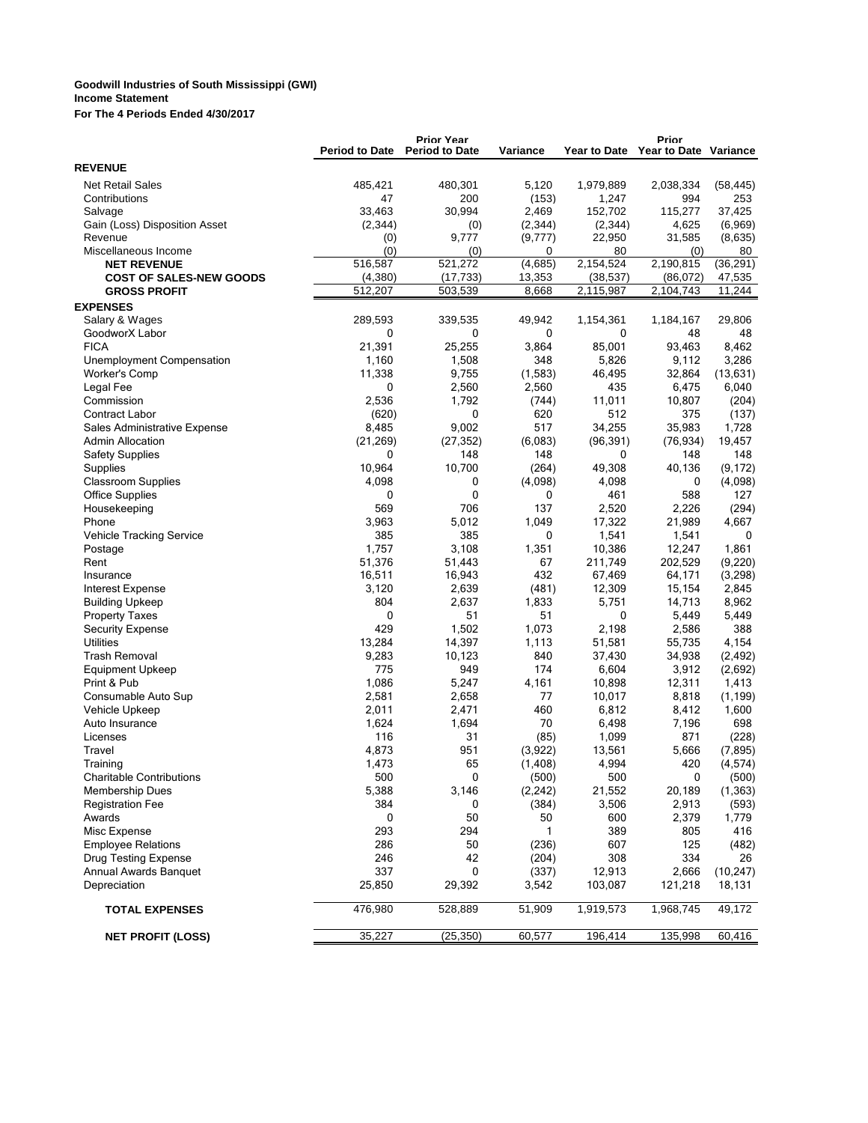## **Goodwill Industries of South Mississippi (GWI) Income Statement**

**For The 4 Periods Ended 4/30/2017**

|                                            | <b>Period to Date</b> | <b>Prior Year</b><br><b>Period to Date</b> | Variance     |                 | Prior<br>Year to Date Year to Date Variance |                |
|--------------------------------------------|-----------------------|--------------------------------------------|--------------|-----------------|---------------------------------------------|----------------|
| <b>REVENUE</b>                             |                       |                                            |              |                 |                                             |                |
| <b>Net Retail Sales</b>                    | 485,421               | 480,301                                    | 5.120        | 1,979,889       | 2,038,334                                   | (58, 445)      |
| Contributions                              | 47                    | 200                                        | (153)        | 1,247           | 994                                         | 253            |
| Salvage                                    | 33,463                | 30,994                                     | 2,469        | 152,702         | 115,277                                     | 37,425         |
| Gain (Loss) Disposition Asset              | (2,344)               | (0)                                        | (2, 344)     | (2,344)         | 4,625                                       | (6,969)        |
| Revenue                                    | (0)                   | 9,777                                      | (9,777)      | 22,950          | 31,585                                      | (8,635)        |
| Miscellaneous Income                       | (0)                   | (0)                                        | 0            | 80              | (0)                                         | 80             |
| <b>NET REVENUE</b>                         | 516,587               | 521,272                                    | (4,685)      | 2,154,524       | 2,190,815                                   | (36, 291)      |
| <b>COST OF SALES-NEW GOODS</b>             | (4, 380)              | (17, 733)                                  | 13,353       | (38, 537)       | (86,072)                                    | 47,535         |
| <b>GROSS PROFIT</b>                        | 512,207               | 503,539                                    | 8,668        | 2,115,987       | 2,104,743                                   | 11,244         |
| <b>EXPENSES</b>                            |                       |                                            |              |                 |                                             |                |
| Salary & Wages                             | 289,593               | 339,535                                    | 49,942       | 1,154,361       | 1,184,167                                   | 29,806         |
| GoodworX Labor                             | 0                     | 0                                          | 0            | 0               | 48                                          | 48             |
| <b>FICA</b>                                | 21,391<br>1,160       | 25,255<br>1,508                            | 3,864<br>348 | 85,001<br>5,826 | 93,463                                      | 8,462<br>3,286 |
| Unemployment Compensation<br>Worker's Comp | 11,338                | 9,755                                      | (1,583)      | 46,495          | 9,112<br>32,864                             | (13, 631)      |
| Legal Fee                                  | 0                     | 2,560                                      | 2,560        | 435             | 6,475                                       | 6,040          |
| Commission                                 | 2,536                 | 1,792                                      | (744)        | 11,011          | 10,807                                      | (204)          |
| <b>Contract Labor</b>                      | (620)                 | 0                                          | 620          | 512             | 375                                         | (137)          |
| Sales Administrative Expense               | 8,485                 | 9,002                                      | 517          | 34,255          | 35,983                                      | 1,728          |
| <b>Admin Allocation</b>                    | (21, 269)             | (27, 352)                                  | (6,083)      | (96, 391)       | (76, 934)                                   | 19,457         |
| <b>Safety Supplies</b>                     | 0                     | 148                                        | 148          | 0               | 148                                         | 148            |
| Supplies                                   | 10,964                | 10,700                                     | (264)        | 49,308          | 40,136                                      | (9, 172)       |
| <b>Classroom Supplies</b>                  | 4,098                 | 0                                          | (4,098)      | 4,098           | 0                                           | (4,098)        |
| <b>Office Supplies</b>                     | 0                     | 0                                          | 0            | 461             | 588                                         | 127            |
| Housekeeping                               | 569                   | 706                                        | 137          | 2,520           | 2,226                                       | (294)          |
| Phone                                      | 3,963                 | 5,012                                      | 1,049        | 17,322          | 21,989                                      | 4.667          |
| Vehicle Tracking Service                   | 385                   | 385                                        | 0            | 1,541           | 1,541                                       | 0              |
| Postage                                    | 1,757                 | 3,108                                      | 1,351        | 10,386          | 12,247                                      | 1,861          |
| Rent                                       | 51,376                | 51,443                                     | 67           | 211,749         | 202,529                                     | (9, 220)       |
| Insurance                                  | 16,511                | 16,943                                     | 432          | 67,469          | 64,171                                      | (3, 298)       |
| Interest Expense                           | 3,120                 | 2,639                                      | (481)        | 12,309          | 15,154                                      | 2,845          |
| <b>Building Upkeep</b>                     | 804                   | 2,637                                      | 1,833        | 5,751           | 14,713                                      | 8,962          |
| <b>Property Taxes</b>                      | 0                     | 51                                         | 51           | 0               | 5,449                                       | 5,449          |
| <b>Security Expense</b>                    | 429                   | 1,502                                      | 1,073        | 2,198           | 2,586                                       | 388            |
| <b>Utilities</b>                           | 13,284                | 14,397                                     | 1,113        | 51,581          | 55,735                                      | 4,154          |
| <b>Trash Removal</b>                       | 9,283                 | 10,123                                     | 840          | 37,430          | 34,938                                      | (2, 492)       |
| <b>Equipment Upkeep</b>                    | 775                   | 949                                        | 174          | 6,604           | 3,912                                       | (2,692)        |
| Print & Pub                                | 1,086                 | 5,247                                      | 4,161        | 10,898          | 12,311                                      | 1,413          |
| Consumable Auto Sup                        | 2,581                 | 2,658                                      | 77<br>460    | 10,017          | 8,818                                       | (1, 199)       |
| Vehicle Upkeep<br>Auto Insurance           | 2,011<br>1,624        | 2,471<br>1,694                             | 70           | 6,812<br>6,498  | 8,412<br>7,196                              | 1,600<br>698   |
| Licenses                                   | 116                   | 31                                         | (85)         | 1,099           | 871                                         | (228)          |
| Travel                                     | 4,873                 | 951                                        | (3,922)      | 13,561          | 5,666                                       | (7, 895)       |
| Training                                   | 1,473                 | 65                                         | (1, 408)     | 4,994           | 420                                         | (4, 574)       |
| <b>Charitable Contributions</b>            | 500                   | 0                                          | (500)        | 500             | 0                                           | (500)          |
| <b>Membership Dues</b>                     | 5,388                 | 3,146                                      | (2, 242)     | 21,552          | 20,189                                      | (1, 363)       |
| <b>Registration Fee</b>                    | 384                   | 0                                          | (384)        | 3,506           | 2,913                                       | (593)          |
| Awards                                     | 0                     | 50                                         | 50           | 600             | 2,379                                       | 1,779          |
| Misc Expense                               | 293                   | 294                                        | 1            | 389             | 805                                         | 416            |
| <b>Employee Relations</b>                  | 286                   | 50                                         | (236)        | 607             | 125                                         | (482)          |
| Drug Testing Expense                       | 246                   | 42                                         | (204)        | 308             | 334                                         | 26             |
| Annual Awards Banquet                      | 337                   | 0                                          | (337)        | 12,913          | 2,666                                       | (10, 247)      |
| Depreciation                               | 25,850                | 29,392                                     | 3,542        | 103,087         | 121,218                                     | 18,131         |
| <b>TOTAL EXPENSES</b>                      | 476,980               | 528,889                                    | 51,909       | 1,919,573       | 1,968,745                                   | 49,172         |
|                                            |                       |                                            |              |                 |                                             |                |
| <b>NET PROFIT (LOSS)</b>                   | 35,227                | (25, 350)                                  | 60,577       | 196,414         | 135,998                                     | 60,416         |